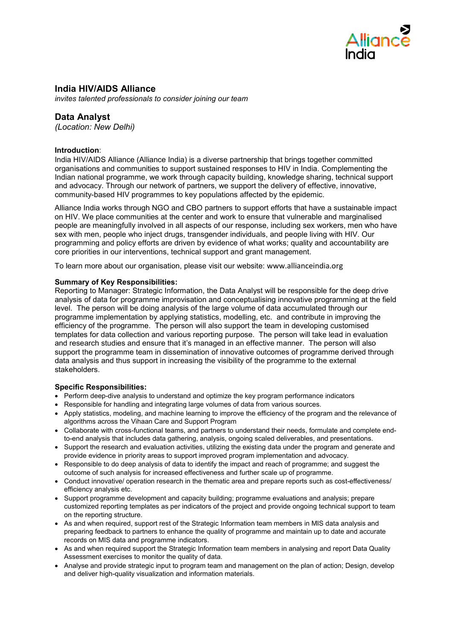

# **India HIV/AIDS Alliance**

*invites talented professionals to consider joining our team* 

# **Data Analyst**

*(Location: New Delhi)*

## **Introduction**:

India HIV/AIDS Alliance (Alliance India) is a diverse partnership that brings together committed organisations and communities to support sustained responses to HIV in India. Complementing the Indian national programme, we work through capacity building, knowledge sharing, technical support and advocacy. Through our network of partners, we support the delivery of effective, innovative, community-based HIV programmes to key populations affected by the epidemic.

Alliance India works through NGO and CBO partners to support efforts that have a sustainable impact on HIV. We place communities at the center and work to ensure that vulnerable and marginalised people are meaningfully involved in all aspects of our response, including sex workers, men who have sex with men, people who inject drugs, transgender individuals, and people living with HIV. Our programming and policy efforts are driven by evidence of what works; quality and accountability are core priorities in our interventions, technical support and grant management.

To learn more about our organisation, please visit our website: [www.allianceindia.org](http://www.allianceindia.org/)

### **Summary of Key Responsibilities:**

Reporting to Manager: Strategic Information, the Data Analyst will be responsible for the deep drive analysis of data for programme improvisation and conceptualising innovative programming at the field level. The person will be doing analysis of the large volume of data accumulated through our programme implementation by applying statistics, modelling, etc. and contribute in improving the efficiency of the programme. The person will also support the team in developing customised templates for data collection and various reporting purpose. The person will take lead in evaluation and research studies and ensure that it's managed in an effective manner. The person will also support the programme team in dissemination of innovative outcomes of programme derived through data analysis and thus support in increasing the visibility of the programme to the external stakeholders.

### **Specific Responsibilities:**

- Perform deep-dive analysis to understand and optimize the key program performance indicators
- Responsible for handling and integrating large volumes of data from various sources.
- Apply statistics, modeling, and machine learning to improve the efficiency of the program and the relevance of algorithms across the Vihaan Care and Support Program
- Collaborate with cross-functional teams, and partners to understand their needs, formulate and complete endto-end analysis that includes data gathering, analysis, ongoing scaled deliverables, and presentations.
- Support the research and evaluation activities, utilizing the existing data under the program and generate and provide evidence in priority areas to support improved program implementation and advocacy.
- Responsible to do deep analysis of data to identify the impact and reach of programme; and suggest the outcome of such analysis for increased effectiveness and further scale up of programme.
- Conduct innovative/ operation research in the thematic area and prepare reports such as cost-effectiveness/ efficiency analysis etc.
- Support programme development and capacity building; programme evaluations and analysis; prepare customized reporting templates as per indicators of the project and provide ongoing technical support to team on the reporting structure.
- As and when required, support rest of the Strategic Information team members in MIS data analysis and preparing feedback to partners to enhance the quality of programme and maintain up to date and accurate records on MIS data and programme indicators.
- As and when required support the Strategic Information team members in analysing and report Data Quality Assessment exercises to monitor the quality of data.
- Analyse and provide strategic input to program team and management on the plan of action; Design, develop and deliver high-quality visualization and information materials.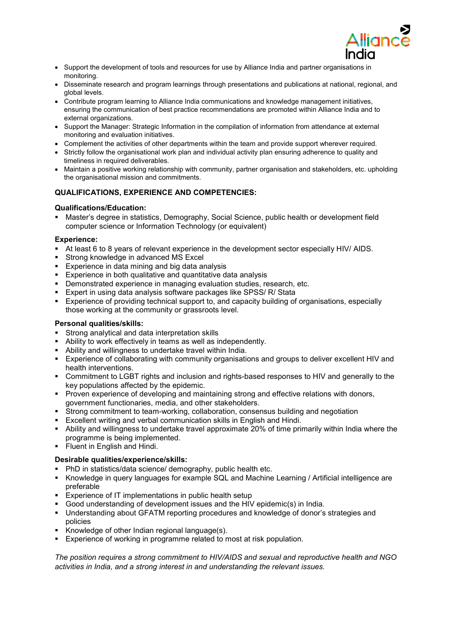

- Support the development of tools and resources for use by Alliance India and partner organisations in monitoring.
- Disseminate research and program learnings through presentations and publications at national, regional, and global levels.
- Contribute program learning to Alliance India communications and knowledge management initiatives, ensuring the communication of best practice recommendations are promoted within Alliance India and to external organizations.
- Support the Manager: Strategic Information in the compilation of information from attendance at external monitoring and evaluation initiatives.
- Complement the activities of other departments within the team and provide support wherever required.
- Strictly follow the organisational work plan and individual activity plan ensuring adherence to quality and timeliness in required deliverables.
- Maintain a positive working relationship with community, partner organisation and stakeholders, etc. upholding the organisational mission and commitments.

# **QUALIFICATIONS, EXPERIENCE AND COMPETENCIES:**

## **Qualifications/Education:**

**Master's degree in statistics, Demography, Social Science, public health or development field** computer science or Information Technology (or equivalent)

### **Experience:**

- At least 6 to 8 years of relevant experience in the development sector especially HIV/ AIDS.
- **Strong knowledge in advanced MS Excel**
- **Experience in data mining and big data analysis**
- Experience in both qualitative and quantitative data analysis
- Demonstrated experience in managing evaluation studies, research, etc.
- **Expert in using data analysis software packages like SPSS/ R/ Stata**
- Experience of providing technical support to, and capacity building of organisations, especially those working at the community or grassroots level.

## **Personal qualities/skills:**

- Strong analytical and data interpretation skills
- Ability to work effectively in teams as well as independently.
- Ability and willingness to undertake travel within India.
- Experience of collaborating with community organisations and groups to deliver excellent HIV and health interventions.
- Commitment to LGBT rights and inclusion and rights-based responses to HIV and generally to the key populations affected by the epidemic.
- **Proven experience of developing and maintaining strong and effective relations with donors,** government functionaries, media, and other stakeholders.
- Strong commitment to team-working, collaboration, consensus building and negotiation
- Excellent writing and verbal communication skills in English and Hindi.
- Ability and willingness to undertake travel approximate 20% of time primarily within India where the programme is being implemented.
- **Fluent in English and Hindi.**

### **Desirable qualities/experience/skills:**

- **PhD** in statistics/data science/ demography, public health etc.
- Knowledge in query languages for example SQL and Machine Learning / Artificial intelligence are preferable
- **Experience of IT implementations in public health setup**
- Good understanding of development issues and the HIV epidemic(s) in India.
- Understanding about GFATM reporting procedures and knowledge of donor's strategies and policies
- Knowledge of other Indian regional language(s).
- **Experience of working in programme related to most at risk population.**

*The position requires a strong commitment to HIV/AIDS and sexual and reproductive health and NGO activities in India, and a strong interest in and understanding the relevant issues.*